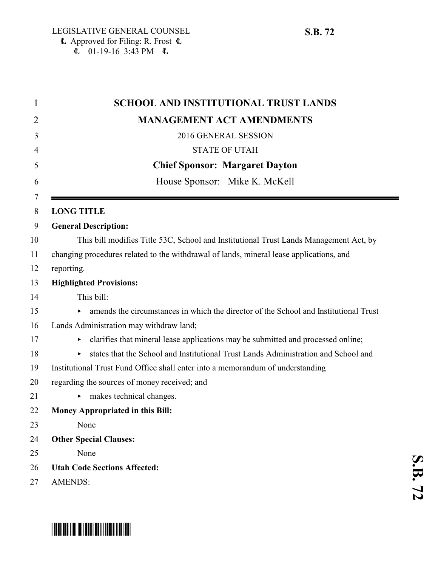| 1  | <b>SCHOOL AND INSTITUTIONAL TRUST LANDS</b>                                             |
|----|-----------------------------------------------------------------------------------------|
| 2  | <b>MANAGEMENT ACT AMENDMENTS</b>                                                        |
| 3  | 2016 GENERAL SESSION                                                                    |
| 4  | <b>STATE OF UTAH</b>                                                                    |
| 5  | <b>Chief Sponsor: Margaret Dayton</b>                                                   |
| 6  | House Sponsor: Mike K. McKell                                                           |
| 7  |                                                                                         |
| 8  | <b>LONG TITLE</b>                                                                       |
| 9  | <b>General Description:</b>                                                             |
| 10 | This bill modifies Title 53C, School and Institutional Trust Lands Management Act, by   |
| 11 | changing procedures related to the withdrawal of lands, mineral lease applications, and |
| 12 | reporting.                                                                              |
| 13 | <b>Highlighted Provisions:</b>                                                          |
| 14 | This bill:                                                                              |
| 15 | amends the circumstances in which the director of the School and Institutional Trust    |
| 16 | Lands Administration may withdraw land;                                                 |
| 17 | clarifies that mineral lease applications may be submitted and processed online;<br>▶   |
| 18 | states that the School and Institutional Trust Lands Administration and School and<br>▶ |
| 19 | Institutional Trust Fund Office shall enter into a memorandum of understanding          |
| 20 | regarding the sources of money received; and                                            |
| 21 | makes technical changes.                                                                |
| 22 | <b>Money Appropriated in this Bill:</b>                                                 |
| 23 | None                                                                                    |
| 24 | <b>Other Special Clauses:</b>                                                           |
| 25 | None                                                                                    |
| 26 | <b>Utah Code Sections Affected:</b>                                                     |
| 27 | <b>AMENDS:</b>                                                                          |

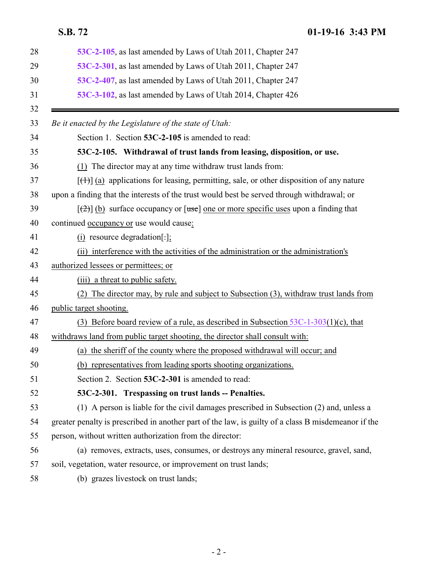<span id="page-1-0"></span>**S.B. 72 01-19-16 3:43 PM**

<span id="page-1-1"></span>

| 53C-2-105, as last amended by Laws of Utah 2011, Chapter 247                                        |
|-----------------------------------------------------------------------------------------------------|
| 53C-2-301, as last amended by Laws of Utah 2011, Chapter 247                                        |
| 53C-2-407, as last amended by Laws of Utah 2011, Chapter 247                                        |
| 53C-3-102, as last amended by Laws of Utah 2014, Chapter 426                                        |
| Be it enacted by the Legislature of the state of Utah:                                              |
| Section 1. Section 53C-2-105 is amended to read:                                                    |
| 53C-2-105. Withdrawal of trust lands from leasing, disposition, or use.                             |
| (1) The director may at any time withdraw trust lands from:                                         |
| $[\text{(+)}]$ (a) applications for leasing, permitting, sale, or other disposition of any nature   |
| upon a finding that the interests of the trust would best be served through withdrawal; or          |
| $[\frac{1}{2}]$ (b) surface occupancy or [use] one or more specific uses upon a finding that        |
| continued occupancy or use would cause:                                                             |
| $(i)$ resource degradation[ $:$ ];                                                                  |
| (ii) interference with the activities of the administration or the administration's                 |
| authorized lessees or permittees; or                                                                |
| a threat to public safety.<br>(iii)                                                                 |
| The director may, by rule and subject to Subsection (3), withdraw trust lands from<br>(2)           |
| public target shooting.                                                                             |
| (3) Before board review of a rule, as described in Subsection $53C-1-303(1)(c)$ , that              |
| withdraws land from public target shooting, the director shall consult with:                        |
| (a) the sheriff of the county where the proposed withdrawal will occur; and                         |
| (b) representatives from leading sports shooting organizations.                                     |
| Section 2. Section 53C-2-301 is amended to read:                                                    |
| 53C-2-301. Trespassing on trust lands -- Penalties.                                                 |
| (1) A person is liable for the civil damages prescribed in Subsection (2) and, unless a             |
| greater penalty is prescribed in another part of the law, is guilty of a class B misdemeanor if the |
| person, without written authorization from the director:                                            |
| (a) removes, extracts, uses, consumes, or destroys any mineral resource, gravel, sand,              |
| soil, vegetation, water resource, or improvement on trust lands;                                    |
| (b) grazes livestock on trust lands;                                                                |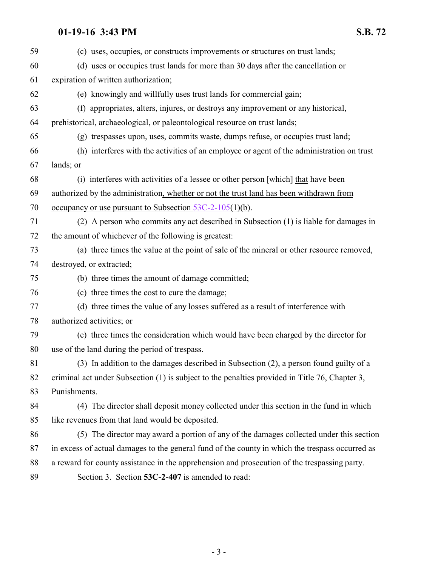# **01-19-16 3:43 PM S.B. 72**

<span id="page-2-0"></span>

| 59 | (c) uses, occupies, or constructs improvements or structures on trust lands;                    |
|----|-------------------------------------------------------------------------------------------------|
| 60 | (d) uses or occupies trust lands for more than 30 days after the cancellation or                |
| 61 | expiration of written authorization;                                                            |
| 62 | (e) knowingly and willfully uses trust lands for commercial gain;                               |
| 63 | (f) appropriates, alters, injures, or destroys any improvement or any historical,               |
| 64 | prehistorical, archaeological, or paleontological resource on trust lands;                      |
| 65 | (g) trespasses upon, uses, commits waste, dumps refuse, or occupies trust land;                 |
| 66 | (h) interferes with the activities of an employee or agent of the administration on trust       |
| 67 | lands; or                                                                                       |
| 68 | (i) interferes with activities of a lessee or other person $[\text{which}]$ that have been      |
| 69 | authorized by the administration, whether or not the trust land has been withdrawn from         |
| 70 | occupancy or use pursuant to Subsection $53C-2-105(1)(b)$ .                                     |
| 71 | (2) A person who commits any act described in Subsection (1) is liable for damages in           |
| 72 | the amount of whichever of the following is greatest:                                           |
| 73 | (a) three times the value at the point of sale of the mineral or other resource removed,        |
| 74 | destroyed, or extracted;                                                                        |
| 75 | (b) three times the amount of damage committed;                                                 |
| 76 | (c) three times the cost to cure the damage;                                                    |
| 77 | (d) three times the value of any losses suffered as a result of interference with               |
| 78 | authorized activities; or                                                                       |
| 79 | (e) three times the consideration which would have been charged by the director for             |
| 80 | use of the land during the period of trespass.                                                  |
| 81 | (3) In addition to the damages described in Subsection (2), a person found guilty of a          |
| 82 | criminal act under Subsection (1) is subject to the penalties provided in Title 76, Chapter 3,  |
| 83 | Punishments.                                                                                    |
| 84 | (4) The director shall deposit money collected under this section in the fund in which          |
| 85 | like revenues from that land would be deposited.                                                |
| 86 | (5) The director may award a portion of any of the damages collected under this section         |
| 87 | in excess of actual damages to the general fund of the county in which the trespass occurred as |
| 88 | a reward for county assistance in the apprehension and prosecution of the trespassing party.    |
| 89 | Section 3. Section 53C-2-407 is amended to read:                                                |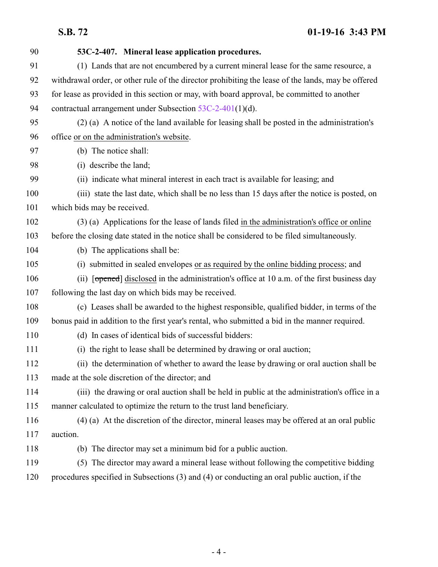**S.B. 72 01-19-16 3:43 PM**

| 90  | 53C-2-407. Mineral lease application procedures.                                                   |
|-----|----------------------------------------------------------------------------------------------------|
| 91  | (1) Lands that are not encumbered by a current mineral lease for the same resource, a              |
| 92  | withdrawal order, or other rule of the director prohibiting the lease of the lands, may be offered |
| 93  | for lease as provided in this section or may, with board approval, be committed to another         |
| 94  | contractual arrangement under Subsection $53C-2-401(1)(d)$ .                                       |
| 95  | (2) (a) A notice of the land available for leasing shall be posted in the administration's         |
| 96  | office or on the administration's website.                                                         |
| 97  | (b) The notice shall:                                                                              |
| 98  | (i) describe the land;                                                                             |
| 99  | (ii) indicate what mineral interest in each tract is available for leasing; and                    |
| 100 | (iii) state the last date, which shall be no less than 15 days after the notice is posted, on      |
| 101 | which bids may be received.                                                                        |
| 102 | (3) (a) Applications for the lease of lands filed in the administration's office or online         |
| 103 | before the closing date stated in the notice shall be considered to be filed simultaneously.       |
| 104 | (b) The applications shall be:                                                                     |
| 105 | (i) submitted in sealed envelopes or as required by the online bidding process; and                |
| 106 | (ii) [opened] disclosed in the administration's office at 10 a.m. of the first business day        |
| 107 | following the last day on which bids may be received.                                              |
| 108 | (c) Leases shall be awarded to the highest responsible, qualified bidder, in terms of the          |
| 109 | bonus paid in addition to the first year's rental, who submitted a bid in the manner required.     |
| 110 | (d) In cases of identical bids of successful bidders:                                              |
| 111 | (i) the right to lease shall be determined by drawing or oral auction;                             |
| 112 | (ii) the determination of whether to award the lease by drawing or oral auction shall be           |
| 113 | made at the sole discretion of the director; and                                                   |
| 114 | (iii) the drawing or oral auction shall be held in public at the administration's office in a      |
| 115 | manner calculated to optimize the return to the trust land beneficiary.                            |
| 116 | (4) (a) At the discretion of the director, mineral leases may be offered at an oral public         |
| 117 | auction.                                                                                           |
| 118 | (b) The director may set a minimum bid for a public auction.                                       |
| 119 | (5) The director may award a mineral lease without following the competitive bidding               |
| 120 | procedures specified in Subsections (3) and (4) or conducting an oral public auction, if the       |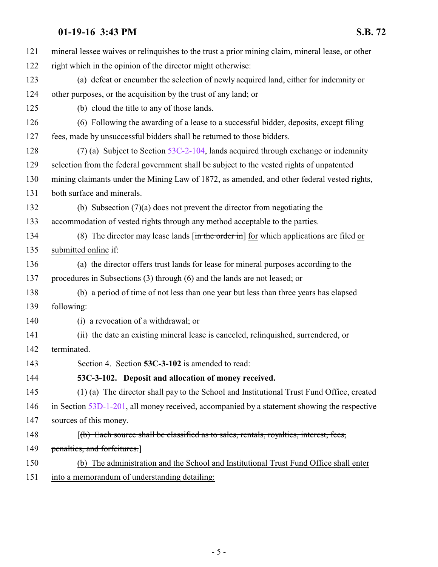## **01-19-16 3:43 PM S.B. 72**

| 121 | mineral lessee waives or relinquishes to the trust a prior mining claim, mineral lease, or other                             |
|-----|------------------------------------------------------------------------------------------------------------------------------|
| 122 | right which in the opinion of the director might otherwise:                                                                  |
| 123 | (a) defeat or encumber the selection of newly acquired land, either for indemnity or                                         |
| 124 | other purposes, or the acquisition by the trust of any land; or                                                              |
| 125 | (b) cloud the title to any of those lands.                                                                                   |
| 126 | (6) Following the awarding of a lease to a successful bidder, deposits, except filing                                        |
| 127 | fees, made by unsuccessful bidders shall be returned to those bidders.                                                       |
| 128 | (7) (a) Subject to Section $53C-2-104$ , lands acquired through exchange or indemnity                                        |
| 129 | selection from the federal government shall be subject to the vested rights of unpatented                                    |
| 130 | mining claimants under the Mining Law of 1872, as amended, and other federal vested rights,                                  |
| 131 | both surface and minerals.                                                                                                   |
| 132 | (b) Subsection $(7)(a)$ does not prevent the director from negotiating the                                                   |
| 133 | accommodation of vested rights through any method acceptable to the parties.                                                 |
| 134 | (8) The director may lease lands $\left[\frac{\text{in the order in}}{\text{in}}\right]$ for which applications are filed or |
| 135 | submitted online if:                                                                                                         |
| 136 | (a) the director offers trust lands for lease for mineral purposes according to the                                          |
| 137 | procedures in Subsections (3) through (6) and the lands are not leased; or                                                   |
| 138 | (b) a period of time of not less than one year but less than three years has elapsed                                         |
| 139 | following:                                                                                                                   |
| 140 | (i) a revocation of a withdrawal; or                                                                                         |
| 141 | (ii) the date an existing mineral lease is canceled, relinquished, surrendered, or                                           |
| 142 | terminated.                                                                                                                  |
| 143 | Section 4. Section 53C-3-102 is amended to read:                                                                             |
| 144 | 53C-3-102. Deposit and allocation of money received.                                                                         |
| 145 | (1) (a) The director shall pay to the School and Institutional Trust Fund Office, created                                    |
| 146 | in Section 53D-1-201, all money received, accompanied by a statement showing the respective                                  |
| 147 | sources of this money.                                                                                                       |
| 148 | $(f(b)$ Each source shall be classified as to sales, rentals, royalties, interest, fees,                                     |
| 149 | penalties, and forfeitures.                                                                                                  |
| 150 | (b) The administration and the School and Institutional Trust Fund Office shall enter                                        |
|     |                                                                                                                              |

<span id="page-4-0"></span>151 into a memorandum of understanding detailing: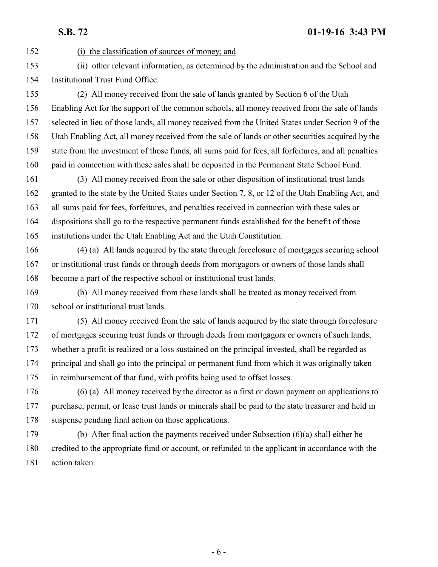### **S.B. 72 01-19-16 3:43 PM**

 (i) the classification of sources of money; and (ii) other relevant information, as determined by the administration and the School and Institutional Trust Fund Office. (2) All money received from the sale of lands granted by Section 6 of the Utah Enabling Act for the support of the common schools, all money received from the sale of lands selected in lieu of those lands, all money received from the United States under Section 9 of the Utah Enabling Act, all money received from the sale of lands or other securities acquired by the state from the investment of those funds, all sums paid for fees, all forfeitures, and all penalties paid in connection with these sales shall be deposited in the Permanent State School Fund. (3) All money received from the sale or other disposition of institutional trust lands granted to the state by the United States under Section 7, 8, or 12 of the Utah Enabling Act, and all sums paid for fees, forfeitures, and penalties received in connection with these sales or dispositions shall go to the respective permanent funds established for the benefit of those institutions under the Utah Enabling Act and the Utah Constitution. (4) (a) All lands acquired by the state through foreclosure of mortgages securing school or institutional trust funds or through deeds from mortgagors or owners of those lands shall become a part of the respective school or institutional trust lands. (b) All money received from these lands shall be treated as money received from school or institutional trust lands. (5) All money received from the sale of lands acquired by the state through foreclosure of mortgages securing trust funds or through deeds from mortgagors or owners of such lands, whether a profit is realized or a loss sustained on the principal invested, shall be regarded as principal and shall go into the principal or permanent fund from which it was originally taken in reimbursement of that fund, with profits being used to offset losses. (6) (a) All money received by the director as a first or down payment on applications to purchase, permit, or lease trust lands or minerals shall be paid to the state treasurer and held in suspense pending final action on those applications. (b) After final action the payments received under Subsection (6)(a) shall either be credited to the appropriate fund or account, or refunded to the applicant in accordance with the action taken.